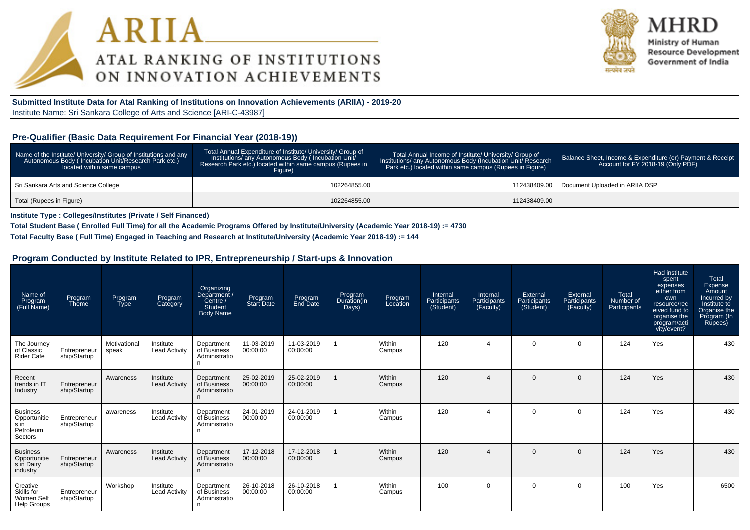



Ministry of Human **Resource Development** Government of India

**Submitted Institute Data for Atal Ranking of Institutions on Innovation Achievements (ARIIA) - 2019-20**Institute Name: Sri Sankara College of Arts and Science [ARI-C-43987]

#### **Pre-Qualifier (Basic Data Requirement For Financial Year (2018-19))**

| Name of the Institute/ University/ Group of Institutions and any<br>Autonomous Body (Incubation Unit/Research Park etc.)<br>located within same campus | Total Annual Expenditure of Institute/ University/ Group of<br>Institutions/ any Autonomous Body (Incubation Unit/<br>Research Park etc.) located within same campus (Rupees in<br>Figure) | Total Annual Income of Institute/ University/ Group of<br>Institutions/ any Autonomous Body (Incubation Unit/ Research<br>Park etc.) located within same campus (Rupees in Figure) | Balance Sheet, Income & Expenditure (or) Payment & Receipt<br>Account for FY 2018-19 (Only PDF) |
|--------------------------------------------------------------------------------------------------------------------------------------------------------|--------------------------------------------------------------------------------------------------------------------------------------------------------------------------------------------|------------------------------------------------------------------------------------------------------------------------------------------------------------------------------------|-------------------------------------------------------------------------------------------------|
| Sri Sankara Arts and Science College                                                                                                                   | 102264855.00                                                                                                                                                                               |                                                                                                                                                                                    | 112438409.00   Document Uploaded in ARIIA DSP                                                   |
| Total (Rupees in Figure)                                                                                                                               | 102264855.00                                                                                                                                                                               | 112438409.00                                                                                                                                                                       |                                                                                                 |

**Institute Type : Colleges/Institutes (Private / Self Financed)**

**Total Student Base ( Enrolled Full Time) for all the Academic Programs Offered by Institute/University (Academic Year 2018-19) := 4730**

**Total Faculty Base ( Full Time) Engaged in Teaching and Research at Institute/University (Academic Year 2018-19) := 144**

#### **Program Conducted by Institute Related to IPR, Entrepreneurship / Start-ups & Innovation**

| Name of<br>Program<br>(Full Name)                               | Program<br>Theme             | Program<br><b>Type</b> | Program<br>Category               | Organizing<br>Department /<br>$\text{Centre}$<br>Student<br><b>Body Name</b> | Program<br><b>Start Date</b> | Program<br>End Date    | Program<br>Duration(in<br>Days) | Program<br>Location | Internal<br>Participants<br>(Student) | Internal<br>Participants<br>(Faculty) | External<br>Participants<br>(Student) | External<br>Participants<br>(Faculty) | Total<br>Number of<br>Participants | Had institute<br>spent<br>expenses<br>either from<br>own<br>resource/rec<br>eived fund to<br>organise the<br>program/acti<br>vity/event? | Total<br>Expense<br>Amount<br>Incurred by<br>Institute to<br>Organise the<br>Program (In<br>Rupees) |
|-----------------------------------------------------------------|------------------------------|------------------------|-----------------------------------|------------------------------------------------------------------------------|------------------------------|------------------------|---------------------------------|---------------------|---------------------------------------|---------------------------------------|---------------------------------------|---------------------------------------|------------------------------------|------------------------------------------------------------------------------------------------------------------------------------------|-----------------------------------------------------------------------------------------------------|
| The Journey<br>of Classic<br>Rider Cafe                         | Entrepreneur<br>ship/Startup | Motivational<br>speak  | Institute<br><b>Lead Activity</b> | Department<br>of Business<br>Administratio<br>n                              | 11-03-2019<br>00:00:00       | 11-03-2019<br>00:00:00 |                                 | Within<br>Campus    | 120                                   |                                       | $\mathbf 0$                           | $\mathbf 0$                           | 124                                | Yes                                                                                                                                      | 430                                                                                                 |
| Recent<br>trends in IT<br>Industry                              | Entrepreneur<br>ship/Startup | Awareness              | Institute<br><b>Lead Activity</b> | Department<br>of Business<br>Administratio<br>n                              | 25-02-2019<br>00:00:00       | 25-02-2019<br>00:00:00 |                                 | Within<br>Campus    | 120                                   | $\boldsymbol{\Delta}$                 | $\Omega$                              | $\Omega$                              | 124                                | Yes                                                                                                                                      | 430                                                                                                 |
| <b>Business</b><br>Opportunitie<br>s in<br>Petroleum<br>Sectors | Entrepreneur<br>ship/Startup | awareness              | Institute<br><b>Lead Activity</b> | Department<br>of Business<br>Administratio<br>n                              | 24-01-2019<br>00:00:00       | 24-01-2019<br>00:00:00 |                                 | Within<br>Campus    | 120                                   | $\boldsymbol{\Lambda}$                | $\Omega$                              | $\Omega$                              | 124                                | Yes                                                                                                                                      | 430                                                                                                 |
| <b>Business</b><br>Opportunitie<br>s in Dairy<br>industry       | Entrepreneur<br>ship/Startup | Awareness              | Institute<br><b>Lead Activity</b> | Department<br>of Business<br>Administratio<br>n                              | 17-12-2018<br>00:00:00       | 17-12-2018<br>00:00:00 |                                 | Within<br>Campus    | 120                                   |                                       | $\Omega$                              | $\Omega$                              | 124                                | Yes                                                                                                                                      | 430                                                                                                 |
| Creative<br>Skills for<br>Women Self<br><b>Help Groups</b>      | Entrepreneur<br>ship/Startup | Workshop               | Institute<br><b>Lead Activity</b> | Department<br>of Business<br>Administratio<br>n                              | 26-10-2018<br>00:00:00       | 26-10-2018<br>00:00:00 |                                 | Within<br>Campus    | 100                                   | $\Omega$                              | $\Omega$                              | 0                                     | 100                                | Yes                                                                                                                                      | 6500                                                                                                |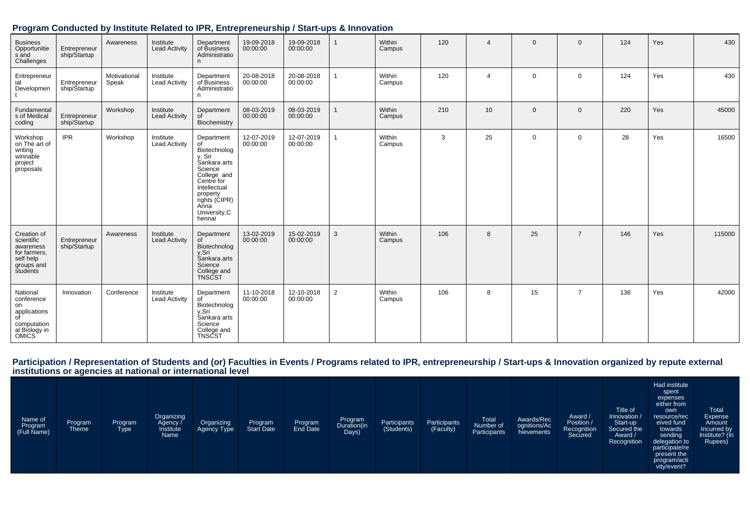| Program Conducted by Institute Related to IPR, Entrepreneurship / Start-ups & Innovation |  |  |
|------------------------------------------------------------------------------------------|--|--|
|------------------------------------------------------------------------------------------|--|--|

| <b>Business</b><br>Opportunitie<br>s and<br>Challenges                                                   | Entrepreneur<br>ship/Startup | Awareness             | Institute<br><b>Lead Activity</b> | Department<br>of Business<br>Administratio<br>n                                                                                                                                    | 19-09-2018<br>00:00:00 | 19-09-2018<br>00:00:00 |   | Within<br>Campus | 120 | $\overline{4}$  | $\Omega$    | 0              | 124 | Yes | 430    |
|----------------------------------------------------------------------------------------------------------|------------------------------|-----------------------|-----------------------------------|------------------------------------------------------------------------------------------------------------------------------------------------------------------------------------|------------------------|------------------------|---|------------------|-----|-----------------|-------------|----------------|-----|-----|--------|
| Entrepreneur<br>ial<br>Developmen                                                                        | Entrepreneur<br>ship/Startup | Motivational<br>Speak | Institute<br><b>Lead Activity</b> | Department<br>of Business<br>Administratio<br>n.                                                                                                                                   | 20-08-2018<br>00:00:00 | 20-08-2018<br>00:00:00 |   | Within<br>Campus | 120 | $\overline{4}$  | $\mathbf 0$ | 0              | 124 | Yes | 430    |
| Fundamental<br>s of Medical<br>coding                                                                    | Entrepreneur<br>ship/Startup | Workshop              | Institute<br><b>Lead Activity</b> | Department<br>0t<br>Biochemistry                                                                                                                                                   | 08-03-2019<br>00:00:00 | 08-03-2019<br>00:00:00 |   | Within<br>Campus | 210 | 10 <sup>°</sup> | $\Omega$    | $\mathbf{0}$   | 220 | Yes | 45000  |
| Workshop<br>on The art of<br>writing<br>winnable<br>project<br>proposals                                 | <b>IPR</b>                   | Workshop              | Institute<br><b>Lead Activity</b> | Department<br>of<br>Biotechnolog<br>y, Sri<br>Sankara arts<br>Science<br>College and<br>Centre for<br>Intellectual<br>property<br>rights (CIPR)<br>Anna<br>University, C<br>hennai | 12-07-2019<br>00:00:00 | 12-07-2019<br>00:00:00 |   | Within<br>Campus | 3   | 25              | $\Omega$    | 0              | 28  | Yes | 16500  |
| Creation of<br>scientific<br>awareness<br>for farmers,<br>self help<br>groups and<br>students            | Entrepreneur<br>ship/Startup | Awareness             | Institute<br>Lead Activity        | Department<br>ot<br>Biotechnolog<br>y, Sri<br>Sankara arts<br>Science<br>College and<br>TNSCST                                                                                     | 13-02-2019<br>00:00:00 | 15-02-2019<br>00:00:00 | 3 | Within<br>Campus | 106 | 8               | 25          | $\overline{7}$ | 146 | Yes | 115000 |
| National<br>conference<br>on<br>applications<br>0f<br>computation<br>al Biology in<br>OMICS <sup>`</sup> | Innovation                   | Conference            | Institute<br><b>Lead Activity</b> | Department<br>of<br>Biotechnolog<br>y, Sri<br>Sankara arts<br>Science<br>College and<br>TNSCST                                                                                     | 11-10-2018<br>00:00:00 | 12-10-2018<br>00:00:00 | 2 | Within<br>Campus | 106 | 8               | 15          | $\overline{7}$ | 136 | Yes | 42000  |

# Participation / Representation of Students and (or) Faculties in Events / Programs related to IPR, entrepreneurship / Start-ups & Innovation organized by repute external<br>institutions or agencies at national or internationa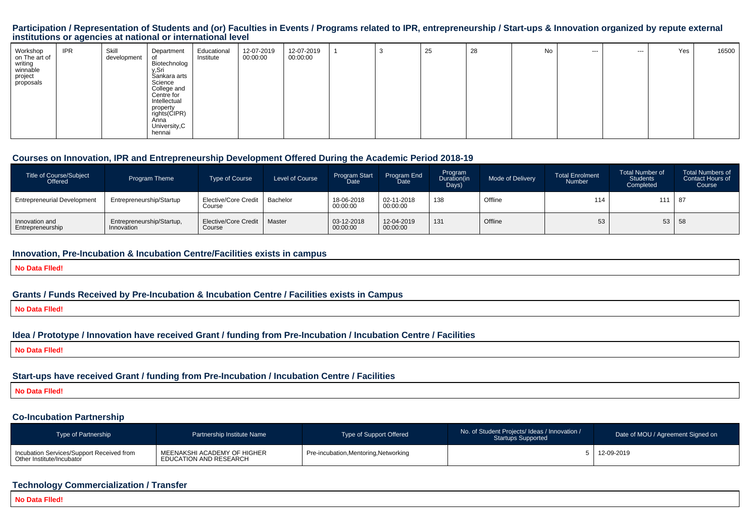#### **Participation / Representation of Students and (or) Faculties in Events / Programs related to IPR, entrepreneurship / Start-ups & Innovation organized by repute externalinstitutions or agencies at national or international level**

| Workshop<br>on The art of                   | <b>IPR</b> | Skill<br>development | Department                                        | Educational<br>Institute | 12-07-2019<br>00:00:00 | 12-07-2019<br>00:00:00 | ູບ | 25 | 28 | No | --- | --- | Yes | 16500 |
|---------------------------------------------|------------|----------------------|---------------------------------------------------|--------------------------|------------------------|------------------------|----|----|----|----|-----|-----|-----|-------|
| writing<br>winnable<br>project<br>proposals |            |                      | Biotechnolog<br>y,Sri<br>Sankara arts<br>Science  |                          |                        |                        |    |    |    |    |     |     |     |       |
|                                             |            |                      | College and<br>Centre for<br>Intellectual         |                          |                        |                        |    |    |    |    |     |     |     |       |
|                                             |            |                      | property<br>rights(CIPR)<br>Anna<br>University, C |                          |                        |                        |    |    |    |    |     |     |     |       |
|                                             |            |                      | hennai                                            |                          |                        |                        |    |    |    |    |     |     |     |       |

#### **Courses on Innovation, IPR and Entrepreneurship Development Offered During the Academic Period 2018-19**

| <b>Title of Course/Subject</b><br>Offered | Program Theme                           | <b>Type of Course</b>          | Level of Course | Program Start<br>Date  | <b>Program End</b><br>Date | Program<br>Duration(in<br>Days) | Mode of Delivery | <b>Total Enrolment</b><br>Number | <b>Total Number of</b><br><b>Students</b><br>Completed | <b>Total Numbers of</b><br>Contact Hours of<br>Course |
|-------------------------------------------|-----------------------------------------|--------------------------------|-----------------|------------------------|----------------------------|---------------------------------|------------------|----------------------------------|--------------------------------------------------------|-------------------------------------------------------|
| <b>Entrepreneurial Development</b>        | Entrepreneurship/Startup                | Elective/Core Credit<br>Course | Bachelor        | 18-06-2018<br>00:00:00 | 02-11-2018<br>00:00:00     | 138                             | Offline          | 114                              | 111                                                    | 87                                                    |
| Innovation and<br>Entrepreneurship        | Entrepreneurship/Startup,<br>Innovation | Elective/Core Credit<br>Course | Master          | 03-12-2018<br>00:00:00 | 12-04-2019<br>00:00:00     | 131                             | Offline          | 53                               | 53   58                                                |                                                       |

#### **Innovation, Pre-Incubation & Incubation Centre/Facilities exists in campus**

**No Data Flled!**

#### **Grants / Funds Received by Pre-Incubation & Incubation Centre / Facilities exists in Campus**

**No Data Flled!**

#### **Idea / Prototype / Innovation have received Grant / funding from Pre-Incubation / Incubation Centre / Facilities**

**No Data Flled!**

#### **Start-ups have received Grant / funding from Pre-Incubation / Incubation Centre / Facilities**

**No Data Flled!**

#### **Co-Incubation Partnership**

| <b>Type of Partnership</b>                                               | Partnership Institute Name                            | Type of Support Offered               | No. of Student Projects/ Ideas / Innovation /<br><b>Startups Supported</b> | Date of MOU / Agreement Signed on |
|--------------------------------------------------------------------------|-------------------------------------------------------|---------------------------------------|----------------------------------------------------------------------------|-----------------------------------|
| Incubation Services/Support Received from<br>  Other Institute/Incubator | MEENAKSHI ACADEMY OF HIGHER<br>EDUCATION AND RESEARCH | Pre-incubation, Mentoring, Networking |                                                                            | 5 12-09-2019                      |

#### **Technology Commercialization / Transfer**

**No Data Flled!**